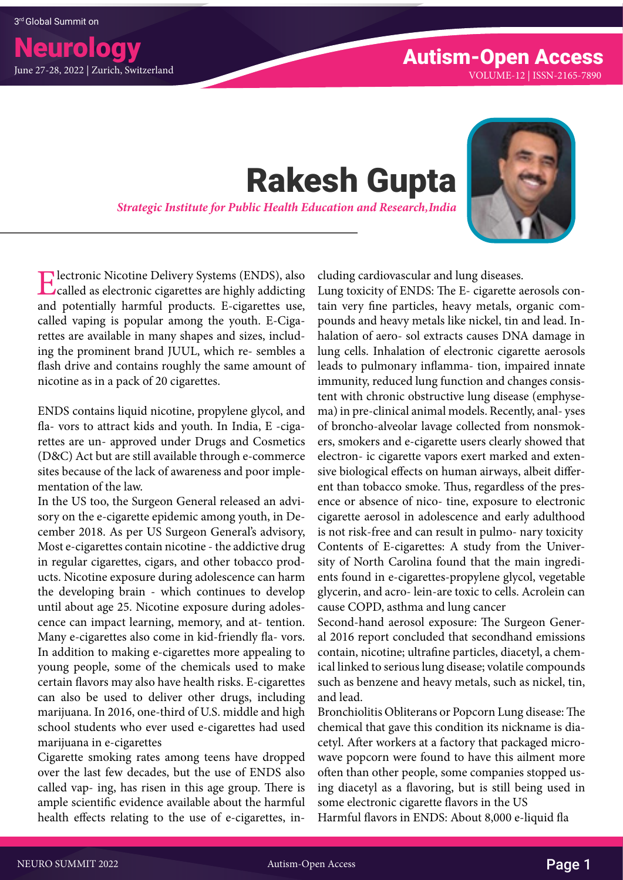## Rakesh Gupta

*Strategic Institute for Public Health Education and Research, India*



Electronic Nicotine Delivery Systems (ENDS), also called as electronic cigarettes are highly addicting and potentially harmful products. E-cigarettes use, called vaping is popular among the youth. E-Cigarettes are available in many shapes and sizes, including the prominent brand JUUL, which re- sembles a flash drive and contains roughly the same amount of nicotine as in a pack of 20 cigarettes.

ENDS contains liquid nicotine, propylene glycol, and fla- vors to attract kids and youth. In India, E -cigarettes are un- approved under Drugs and Cosmetics (D&C) Act but are still available through e-commerce sites because of the lack of awareness and poor implementation of the law.

In the US too, the Surgeon General released an advisory on the e-cigarette epidemic among youth, in December 2018. As per US Surgeon General's advisory, Most e-cigarettes contain nicotine - the addictive drug in regular cigarettes, cigars, and other tobacco products. Nicotine exposure during adolescence can harm the developing brain - which continues to develop until about age 25. Nicotine exposure during adolescence can impact learning, memory, and at- tention. Many e-cigarettes also come in kid-friendly fla- vors. In addition to making e-cigarettes more appealing to young people, some of the chemicals used to make certain flavors may also have health risks. E-cigarettes can also be used to deliver other drugs, including marijuana. In 2016, one-third of U.S. middle and high school students who ever used e-cigarettes had used marijuana in e-cigarettes

Cigarette smoking rates among teens have dropped over the last few decades, but the use of ENDS also called vap- ing, has risen in this age group. There is ample scientific evidence available about the harmful health effects relating to the use of e-cigarettes, including cardiovascular and lung diseases.

Lung toxicity of ENDS: The E- cigarette aerosols contain very fine particles, heavy metals, organic compounds and heavy metals like nickel, tin and lead. Inhalation of aero- sol extracts causes DNA damage in lung cells. Inhalation of electronic cigarette aerosols leads to pulmonary inflamma- tion, impaired innate immunity, reduced lung function and changes consistent with chronic obstructive lung disease (emphysema) in pre-clinical animal models. Recently, anal- yses of broncho-alveolar lavage collected from nonsmokers, smokers and e-cigarette users clearly showed that electron- ic cigarette vapors exert marked and extensive biological effects on human airways, albeit different than tobacco smoke. Thus, regardless of the presence or absence of nico- tine, exposure to electronic cigarette aerosol in adolescence and early adulthood is not risk-free and can result in pulmo- nary toxicity Contents of E-cigarettes: A study from the University of North Carolina found that the main ingredients found in e-cigarettes-propylene glycol, vegetable glycerin, and acro- lein-are toxic to cells. Acrolein can cause COPD, asthma and lung cancer

Second-hand aerosol exposure: The Surgeon General 2016 report concluded that secondhand emissions contain, nicotine; ultrafine particles, diacetyl, a chemical linked to serious lung disease; volatile compounds such as benzene and heavy metals, such as nickel, tin, and lead.

Bronchiolitis Obliterans or Popcorn Lung disease: The chemical that gave this condition its nickname is diacetyl. After workers at a factory that packaged microwave popcorn were found to have this ailment more often than other people, some companies stopped using diacetyl as a flavoring, but is still being used in some electronic cigarette flavors in the US Harmful flavors in ENDS: About 8,000 e-liquid fla

NEURO SUMMIT 2022 Autism-Open Access